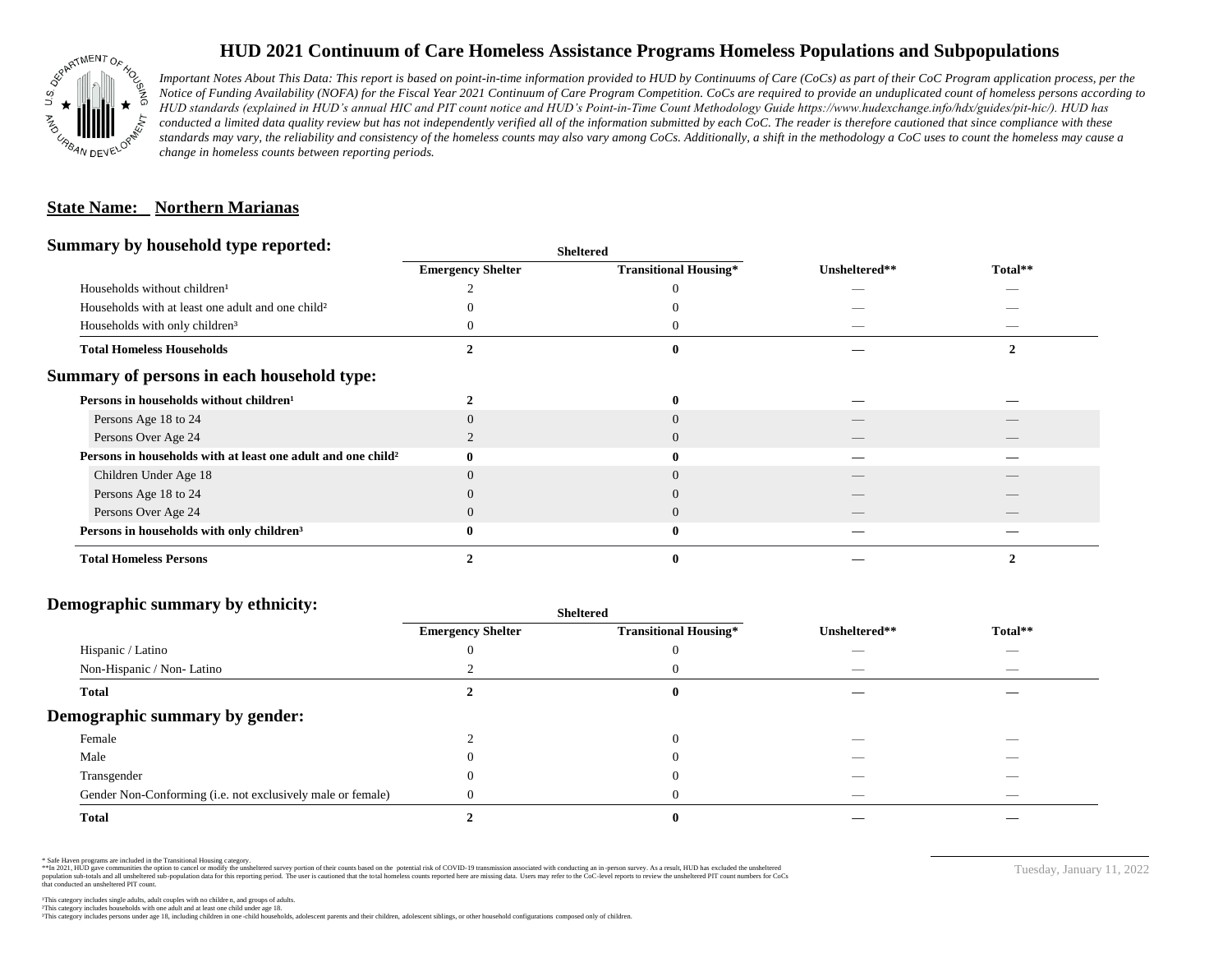

# **HUD 2021 Continuum of Care Homeless Assistance Programs Homeless Populations and Subpopulations**

*Important Notes About This Data: This report is based on point-in-time information provided to HUD by Continuums of Care (CoCs) as part of their CoC Program application process, per the Notice of Funding Availability (NOFA) for the Fiscal Year 2021 Continuum of Care Program Competition. CoCs are required to provide an unduplicated count of homeless persons according to HUD standards (explained in HUD's annual HIC and PIT count notice and HUD's Point-in-Time Count Methodology Guide https://www.hudexchange.info/hdx/guides/pit-hic/). HUD has*  conducted a limited data quality review but has not independently verified all of the information submitted by each CoC. The reader is therefore cautioned that since compliance with these standards may vary, the reliability and consistency of the homeless counts may also vary among CoCs. Additionally, a shift in the methodology a CoC uses to count the homeless may cause a *change in homeless counts between reporting periods.*

### **State Name: Northern Marianas**

#### **Summary by household type reported:**

| . .                                                                      | энскегси                 |                              |               |         |
|--------------------------------------------------------------------------|--------------------------|------------------------------|---------------|---------|
|                                                                          | <b>Emergency Shelter</b> | <b>Transitional Housing*</b> | Unsheltered** | Total** |
| Households without children <sup>1</sup>                                 |                          |                              |               |         |
| Households with at least one adult and one child <sup>2</sup>            |                          |                              |               |         |
| Households with only children <sup>3</sup>                               |                          |                              |               |         |
| <b>Total Homeless Households</b>                                         |                          |                              |               |         |
| Summary of persons in each household type:                               |                          |                              |               |         |
| Persons in households without children <sup>1</sup>                      |                          |                              |               |         |
| Persons Age 18 to 24                                                     |                          |                              |               |         |
| Persons Over Age 24                                                      |                          |                              |               |         |
| Persons in households with at least one adult and one child <sup>2</sup> |                          |                              |               |         |
| Children Under Age 18                                                    |                          |                              |               |         |
| Persons Age 18 to 24                                                     |                          |                              |               |         |
| Persons Over Age 24                                                      |                          |                              |               |         |
| Persons in households with only children <sup>3</sup>                    |                          | $\mathbf 0$                  |               |         |
| <b>Total Homeless Persons</b>                                            |                          |                              |               |         |

**Sheltered**

#### **Demographic summary by ethnicity:**

|                                                             | Sheltered                |                              |               |                                |
|-------------------------------------------------------------|--------------------------|------------------------------|---------------|--------------------------------|
|                                                             | <b>Emergency Shelter</b> | <b>Transitional Housing*</b> | Unsheltered** | Total**                        |
| Hispanic / Latino                                           |                          |                              |               | $\overline{\phantom{a}}$       |
| Non-Hispanic / Non-Latino                                   |                          |                              |               | $\overbrace{\hspace{25mm}}^{}$ |
| <b>Total</b>                                                |                          |                              |               |                                |
| Demographic summary by gender:                              |                          |                              |               |                                |
| Female                                                      |                          | $\theta$                     |               |                                |
| Male                                                        |                          |                              |               | __                             |
| Transgender                                                 |                          |                              | _             | $\overbrace{\hspace{25mm}}^{}$ |
| Gender Non-Conforming (i.e. not exclusively male or female) |                          | O                            | __            |                                |
| <b>Total</b>                                                |                          |                              |               |                                |

\* Safe Haven programs are included in the Transitional Housing category.

\*\*In 2021, HUD gave communities the option to cancel or modify the unsheltered survey portion of their counts based on the potential risk of COVID-19 transmission associated with conducting an in-person survey. As a result n political data for this reporting period. The user is cautioned that the total homeless counts reported here are missing data. Users may refer to the CoC-level reports to review the unshellered PIT count numbers for CoCs that conducted an unsheltered PIT count.

²This category includes households with one adult and at least one child under age 18. This category includes persons under age 18, including children in one -child households, adolescent parents and their children, adolescent siblings, or other household configurations composed only of children.